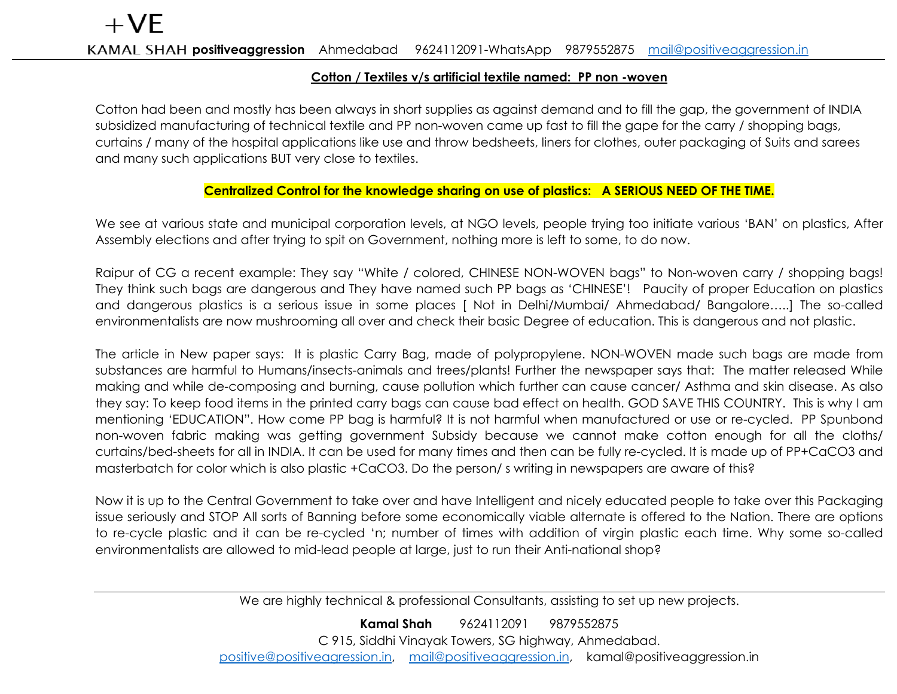## **Cotton / Textiles v/s artificial textile named: PP non -woven**

Cotton had been and mostly has been always in short supplies as against demand and to fill the gap, the government of INDIA subsidized manufacturing of technical textile and PP non-woven came up fast to fill the gape for the carry / shopping bags, curtains / many of the hospital applications like use and throw bedsheets, liners for clothes, outer packaging of Suits and sarees and many such applications BUT very close to textiles.

## **Centralized Control for the knowledge sharing on use of plastics: A SERIOUS NEED OF THE TIME.**

We see at various state and municipal corporation levels, at NGO levels, people trying too initiate various 'BAN' on plastics, After Assembly elections and after trying to spit on Government, nothing more is left to some, to do now.

Raipur of CG a recent example: They say "White / colored, CHINESE NON-WOVEN bags" to Non-woven carry / shopping bags! They think such bags are dangerous and They have named such PP bags as 'CHINESE'! Paucity of proper Education on plastics and dangerous plastics is a serious issue in some places [ Not in Delhi/Mumbai/ Ahmedabad/ Bangalore…..] The so-called environmentalists are now mushrooming all over and check their basic Degree of education. This is dangerous and not plastic.

The article in New paper says: It is plastic Carry Bag, made of polypropylene. NON-WOVEN made such bags are made from substances are harmful to Humans/insects-animals and trees/plants! Further the newspaper says that: The matter released While making and while de-composing and burning, cause pollution which further can cause cancer/ Asthma and skin disease. As also they say: To keep food items in the printed carry bags can cause bad effect on health. GOD SAVE THIS COUNTRY. This is why I am mentioning 'EDUCATION". How come PP bag is harmful? It is not harmful when manufactured or use or re-cycled. PP Spunbond non-woven fabric making was getting government Subsidy because we cannot make cotton enough for all the cloths/ curtains/bed-sheets for all in INDIA. It can be used for many times and then can be fully re-cycled. It is made up of PP+CaCO3 and masterbatch for color which is also plastic +CaCO3. Do the person/ s writing in newspapers are aware of this?

Now it is up to the Central Government to take over and have Intelligent and nicely educated people to take over this Packaging issue seriously and STOP All sorts of Banning before some economically viable alternate is offered to the Nation. There are options to re-cycle plastic and it can be re-cycled 'n; number of times with addition of virgin plastic each time. Why some so-called environmentalists are allowed to mid-lead people at large, just to run their Anti-national shop?

We are highly technical & professional Consultants, assisting to set up new projects.

**Kamal Shah** 9624112091 9879552875 C 915, Siddhi Vinayak Towers, SG highway, Ahmedabad. [positive@positiveagression.in,](mailto:positive@positiveagression.in) [mail@positiveaggression.in,](mailto:mail@positiveaggression.in) kamal@positiveaggression.in